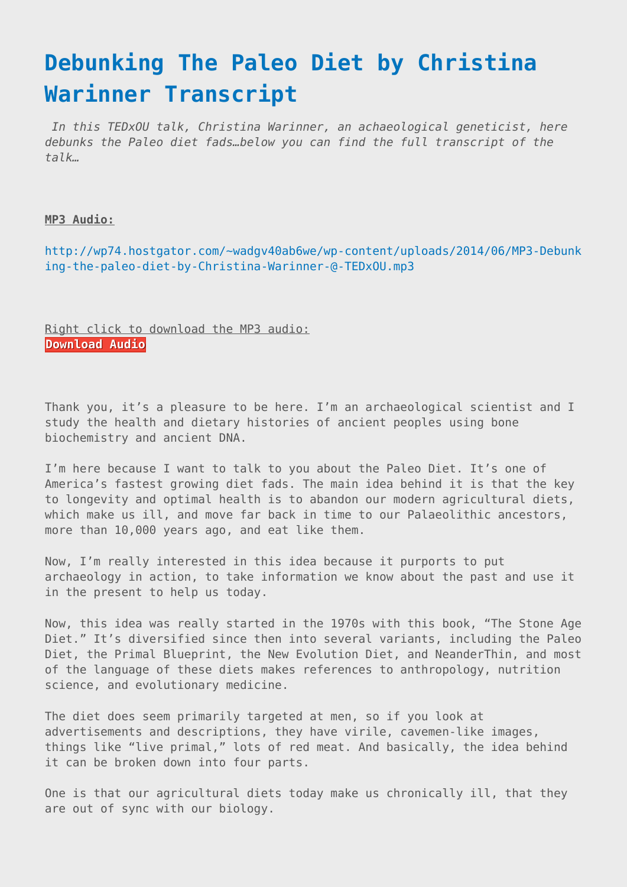# **[Debunking The Paleo Diet by Christina](https://singjupost.com/debunking-paleo-diet-christina-warinner-transcript/) [Warinner Transcript](https://singjupost.com/debunking-paleo-diet-christina-warinner-transcript/)**

 *In this TEDxOU talk, Christina Warinner, an achaeological geneticist, here debunks the Paleo diet fads…below you can find the full transcript of the talk…*

**MP3 Audio:**

[http://wp74.hostgator.com/~wadgv40ab6we/wp-content/uploads/2014/06/MP3-Debunk](http://wp74.hostgator.com/~wadgv40ab6we/wp-content/uploads/2014/06/MP3-Debunking-the-paleo-diet-by-Christina-Warinner-@-TEDxOU.mp3) [ing-the-paleo-diet-by-Christina-Warinner-@-TEDxOU.mp3](http://wp74.hostgator.com/~wadgv40ab6we/wp-content/uploads/2014/06/MP3-Debunking-the-paleo-diet-by-Christina-Warinner-@-TEDxOU.mp3)

Right click to download the MP3 audio: **[Download Audio](http://wp74.hostgator.com/~wadgv40ab6we/wp-content/uploads/2014/06/MP3-Debunking-the-paleo-diet-by-Christina-Warinner-@-TEDxOU.mp3)**

Thank you, it's a pleasure to be here. I'm an archaeological scientist and I study the health and dietary histories of ancient peoples using bone biochemistry and ancient DNA.

I'm here because I want to talk to you about the Paleo Diet. It's one of America's fastest growing diet fads. The main idea behind it is that the key to longevity and optimal health is to abandon our modern agricultural diets, which make us ill, and move far back in time to our Palaeolithic ancestors, more than 10,000 years ago, and eat like them.

Now, I'm really interested in this idea because it purports to put archaeology in action, to take information we know about the past and use it in the present to help us today.

Now, this idea was really started in the 1970s with this book, "The Stone Age Diet." It's diversified since then into several variants, including the Paleo Diet, the Primal Blueprint, the New Evolution Diet, and NeanderThin, and most of the language of these diets makes references to anthropology, nutrition science, and evolutionary medicine.

The diet does seem primarily targeted at men, so if you look at advertisements and descriptions, they have virile, cavemen-like images, things like "live primal," lots of red meat. And basically, the idea behind it can be broken down into four parts.

One is that our agricultural diets today make us chronically ill, that they are out of sync with our biology.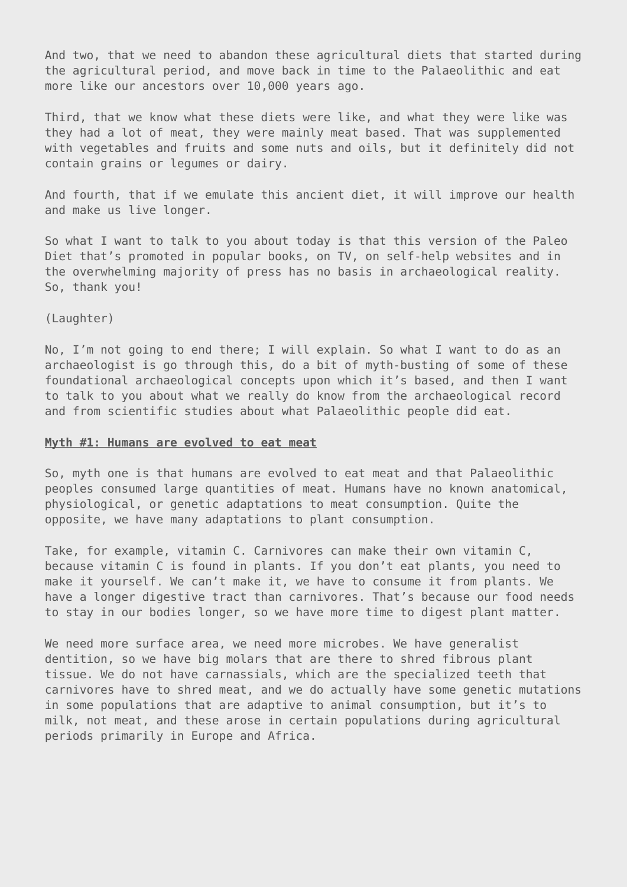And two, that we need to abandon these agricultural diets that started during the agricultural period, and move back in time to the Palaeolithic and eat more like our ancestors over 10,000 years ago.

Third, that we know what these diets were like, and what they were like was they had a lot of meat, they were mainly meat based. That was supplemented with vegetables and fruits and some nuts and oils, but it definitely did not contain grains or legumes or dairy.

And fourth, that if we emulate this ancient diet, it will improve our health and make us live longer.

So what I want to talk to you about today is that this version of the Paleo Diet that's promoted in popular books, on TV, on self-help websites and in the overwhelming majority of press has no basis in archaeological reality. So, thank you!

(Laughter)

No, I'm not going to end there; I will explain. So what I want to do as an archaeologist is go through this, do a bit of myth-busting of some of these foundational archaeological concepts upon which it's based, and then I want to talk to you about what we really do know from the archaeological record and from scientific studies about what Palaeolithic people did eat.

## **Myth #1: Humans are evolved to eat meat**

So, myth one is that humans are evolved to eat meat and that Palaeolithic peoples consumed large quantities of meat. Humans have no known anatomical, physiological, or genetic adaptations to meat consumption. Quite the opposite, we have many adaptations to plant consumption.

Take, for example, vitamin C. Carnivores can make their own vitamin C, because vitamin C is found in plants. If you don't eat plants, you need to make it yourself. We can't make it, we have to consume it from plants. We have a longer digestive tract than carnivores. That's because our food needs to stay in our bodies longer, so we have more time to digest plant matter.

We need more surface area, we need more microbes. We have generalist dentition, so we have big molars that are there to shred fibrous plant tissue. We do not have carnassials, which are the specialized teeth that carnivores have to shred meat, and we do actually have some genetic mutations in some populations that are adaptive to animal consumption, but it's to milk, not meat, and these arose in certain populations during agricultural periods primarily in Europe and Africa.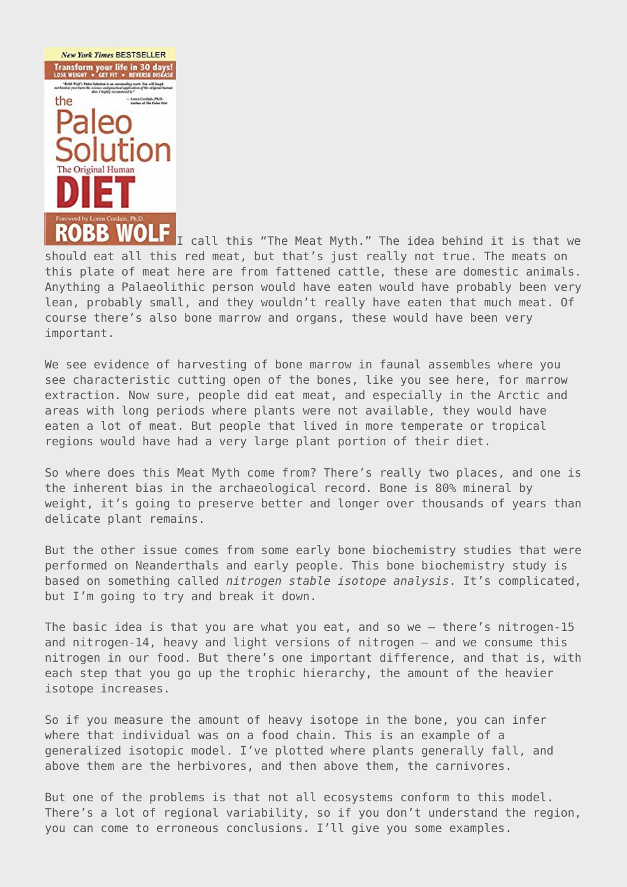

**WOLF** I call this "The Meat Myth." The idea behind it is that we should eat all this red meat, but that's just really not true. The meats on this plate of meat here are from fattened cattle, these are domestic animals. Anything a Palaeolithic person would have eaten would have probably been very lean, probably small, and they wouldn't really have eaten that much meat. Of course there's also bone marrow and organs, these would have been very important.

We see evidence of harvesting of bone marrow in faunal assembles where you see characteristic cutting open of the bones, like you see here, for marrow extraction. Now sure, people did eat meat, and especially in the Arctic and areas with long periods where plants were not available, they would have eaten a lot of meat. But people that lived in more temperate or tropical regions would have had a very large plant portion of their diet.

So where does this Meat Myth come from? There's really two places, and one is the inherent bias in the archaeological record. Bone is 80% mineral by weight, it's going to preserve better and longer over thousands of years than delicate plant remains.

But the other issue comes from some early bone biochemistry studies that were performed on Neanderthals and early people. This bone biochemistry study is based on something called *nitrogen stable isotope analysis*. It's complicated, but I'm going to try and break it down.

The basic idea is that you are what you eat, and so we – there's nitrogen-15 and nitrogen-14, heavy and light versions of nitrogen – and we consume this nitrogen in our food. But there's one important difference, and that is, with each step that you go up the trophic hierarchy, the amount of the heavier isotope increases.

So if you measure the amount of heavy isotope in the bone, you can infer where that individual was on a food chain. This is an example of a generalized isotopic model. I've plotted where plants generally fall, and above them are the herbivores, and then above them, the carnivores.

But one of the problems is that not all ecosystems conform to this model. There's a lot of regional variability, so if you don't understand the region, you can come to erroneous conclusions. I'll give you some examples.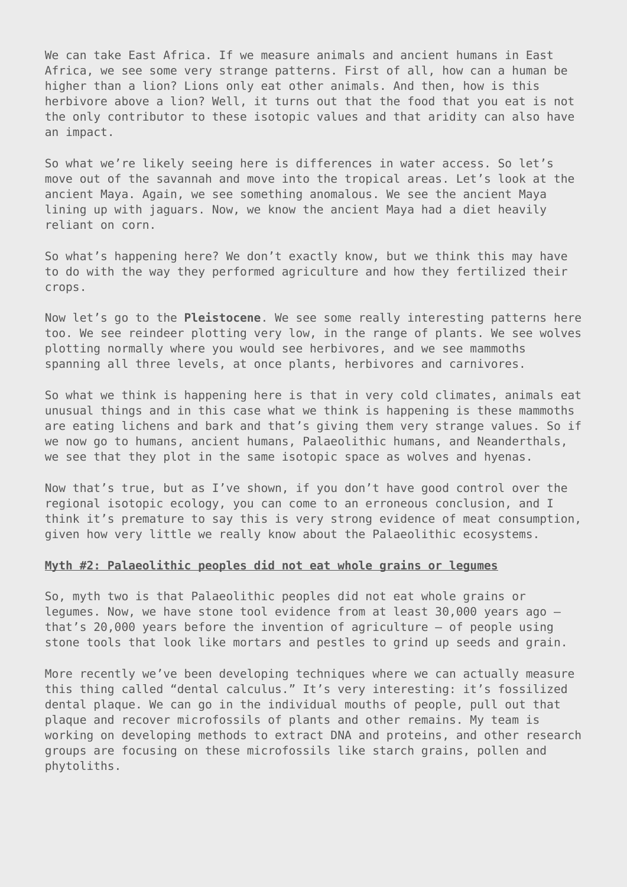We can take East Africa. If we measure animals and ancient humans in East Africa, we see some very strange patterns. First of all, how can a human be higher than a lion? Lions only eat other animals. And then, how is this herbivore above a lion? Well, it turns out that the food that you eat is not the only contributor to these isotopic values and that aridity can also have an impact.

So what we're likely seeing here is differences in water access. So let's move out of the savannah and move into the tropical areas. Let's look at the ancient Maya. Again, we see something anomalous. We see the ancient Maya lining up with jaguars. Now, we know the ancient Maya had a diet heavily reliant on corn.

So what's happening here? We don't exactly know, but we think this may have to do with the way they performed agriculture and how they fertilized their crops.

Now let's go to the **Pleistocene**. We see some really interesting patterns here too. We see reindeer plotting very low, in the range of plants. We see wolves plotting normally where you would see herbivores, and we see mammoths spanning all three levels, at once plants, herbivores and carnivores.

So what we think is happening here is that in very cold climates, animals eat unusual things and in this case what we think is happening is these mammoths are eating lichens and bark and that's giving them very strange values. So if we now go to humans, ancient humans, Palaeolithic humans, and Neanderthals, we see that they plot in the same isotopic space as wolves and hyenas.

Now that's true, but as I've shown, if you don't have good control over the regional isotopic ecology, you can come to an erroneous conclusion, and I think it's premature to say this is very strong evidence of meat consumption, given how very little we really know about the Palaeolithic ecosystems.

### **Myth #2: Palaeolithic peoples did not eat whole grains or legumes**

So, myth two is that Palaeolithic peoples did not eat whole grains or legumes. Now, we have stone tool evidence from at least 30,000 years ago – that's 20,000 years before the invention of agriculture – of people using stone tools that look like mortars and pestles to grind up seeds and grain.

More recently we've been developing techniques where we can actually measure this thing called "dental calculus." It's very interesting: it's fossilized dental plaque. We can go in the individual mouths of people, pull out that plaque and recover microfossils of plants and other remains. My team is working on developing methods to extract DNA and proteins, and other research groups are focusing on these microfossils like starch grains, pollen and phytoliths.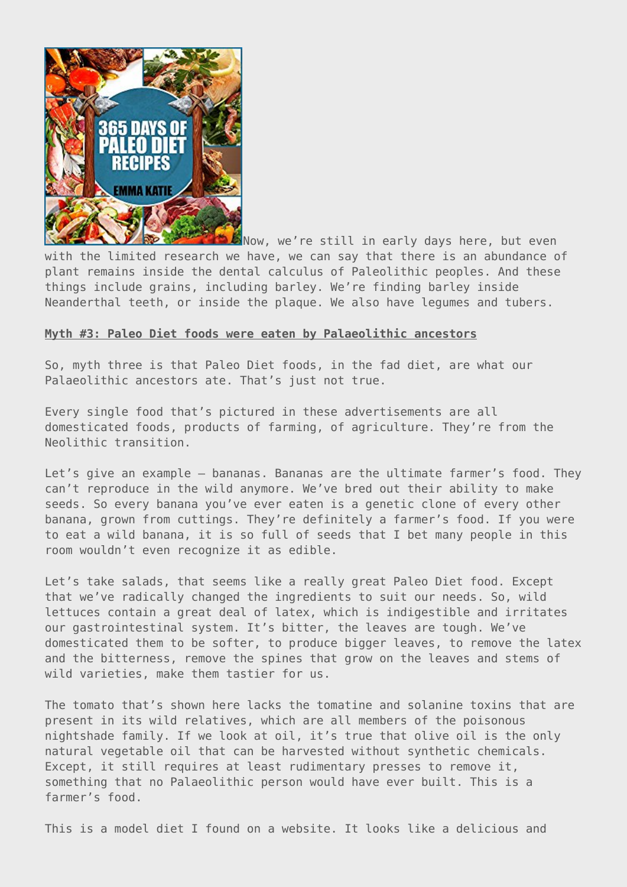

**A**Now, we're still in early days here, but even with the limited research we have, we can say that there is an abundance of plant remains inside the dental calculus of Paleolithic peoples. And these things include grains, including barley. We're finding barley inside Neanderthal teeth, or inside the plaque. We also have legumes and tubers.

## **Myth #3: Paleo Diet foods were eaten by Palaeolithic ancestors**

So, myth three is that Paleo Diet foods, in the fad diet, are what our Palaeolithic ancestors ate. That's just not true.

Every single food that's pictured in these advertisements are all domesticated foods, products of farming, of agriculture. They're from the Neolithic transition.

Let's give an example – bananas. Bananas are the ultimate farmer's food. They can't reproduce in the wild anymore. We've bred out their ability to make seeds. So every banana you've ever eaten is a genetic clone of every other banana, grown from cuttings. They're definitely a farmer's food. If you were to eat a wild banana, it is so full of seeds that I bet many people in this room wouldn't even recognize it as edible.

Let's take salads, that seems like a really great Paleo Diet food. Except that we've radically changed the ingredients to suit our needs. So, wild lettuces contain a great deal of latex, which is indigestible and irritates our gastrointestinal system. It's bitter, the leaves are tough. We've domesticated them to be softer, to produce bigger leaves, to remove the latex and the bitterness, remove the spines that grow on the leaves and stems of wild varieties, make them tastier for us.

The tomato that's shown here lacks the tomatine and solanine toxins that are present in its wild relatives, which are all members of the poisonous nightshade family. If we look at oil, it's true that olive oil is the only natural vegetable oil that can be harvested without synthetic chemicals. Except, it still requires at least rudimentary presses to remove it, something that no Palaeolithic person would have ever built. This is a farmer's food.

This is a model diet I found on a website. It looks like a delicious and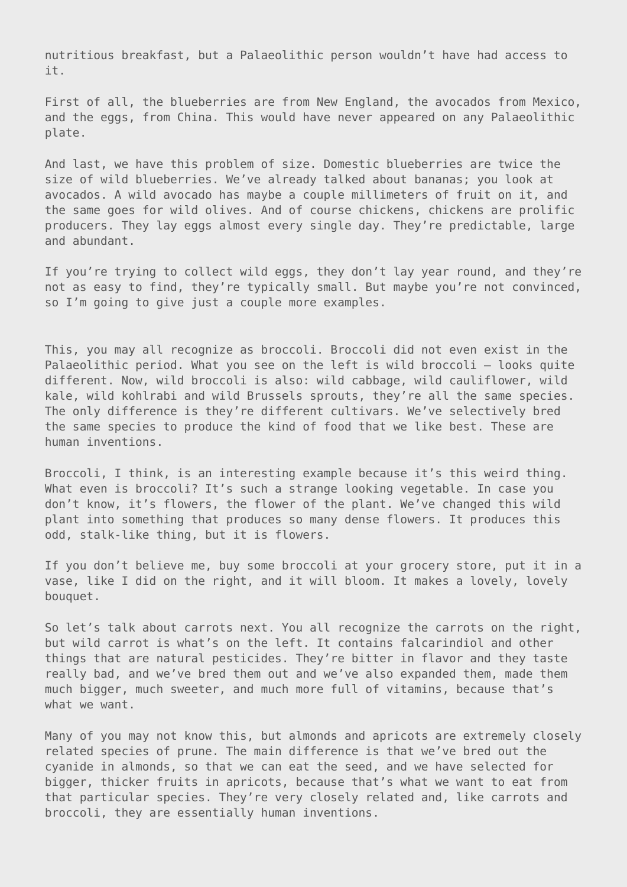nutritious breakfast, but a Palaeolithic person wouldn't have had access to it.

First of all, the blueberries are from New England, the avocados from Mexico, and the eggs, from China. This would have never appeared on any Palaeolithic plate.

And last, we have this problem of size. Domestic blueberries are twice the size of wild blueberries. We've already talked about bananas; you look at avocados. A wild avocado has maybe a couple millimeters of fruit on it, and the same goes for wild olives. And of course chickens, chickens are prolific producers. They lay eggs almost every single day. They're predictable, large and abundant.

If you're trying to collect wild eggs, they don't lay year round, and they're not as easy to find, they're typically small. But maybe you're not convinced, so I'm going to give just a couple more examples.

This, you may all recognize as broccoli. Broccoli did not even exist in the Palaeolithic period. What you see on the left is wild broccoli – looks quite different. Now, wild broccoli is also: wild cabbage, wild cauliflower, wild kale, wild kohlrabi and wild Brussels sprouts, they're all the same species. The only difference is they're different cultivars. We've selectively bred the same species to produce the kind of food that we like best. These are human inventions.

Broccoli, I think, is an interesting example because it's this weird thing. What even is broccoli? It's such a strange looking vegetable. In case you don't know, it's flowers, the flower of the plant. We've changed this wild plant into something that produces so many dense flowers. It produces this odd, stalk-like thing, but it is flowers.

If you don't believe me, buy some broccoli at your grocery store, put it in a vase, like I did on the right, and it will bloom. It makes a lovely, lovely bouquet.

So let's talk about carrots next. You all recognize the carrots on the right, but wild carrot is what's on the left. It contains falcarindiol and other things that are natural pesticides. They're bitter in flavor and they taste really bad, and we've bred them out and we've also expanded them, made them much bigger, much sweeter, and much more full of vitamins, because that's what we want.

Many of you may not know this, but almonds and apricots are extremely closely related species of prune. The main difference is that we've bred out the cyanide in almonds, so that we can eat the seed, and we have selected for bigger, thicker fruits in apricots, because that's what we want to eat from that particular species. They're very closely related and, like carrots and broccoli, they are essentially human inventions.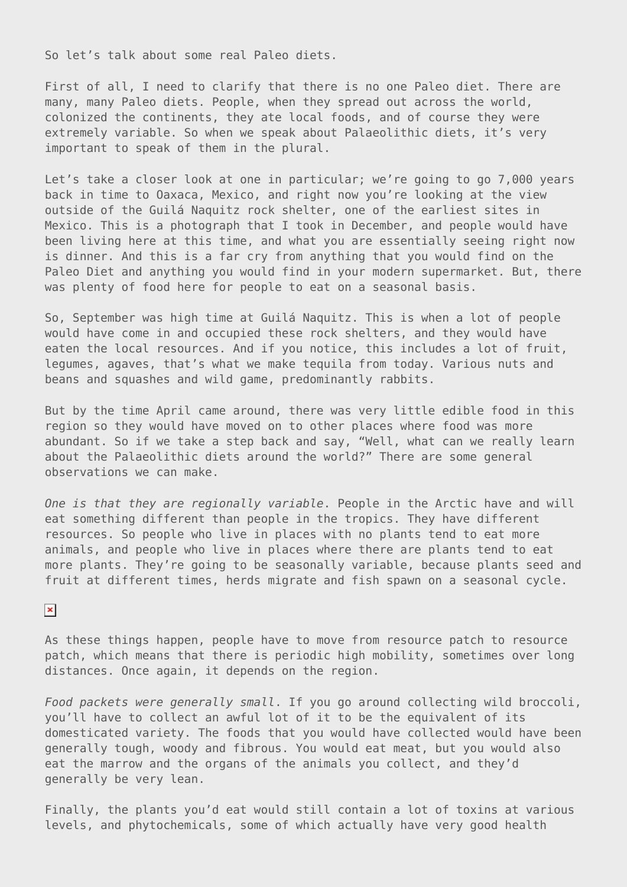So let's talk about some real Paleo diets.

First of all, I need to clarify that there is no one Paleo diet. There are many, many Paleo diets. People, when they spread out across the world, colonized the continents, they ate local foods, and of course they were extremely variable. So when we speak about Palaeolithic diets, it's very important to speak of them in the plural.

Let's take a closer look at one in particular; we're going to go 7,000 years back in time to Oaxaca, Mexico, and right now you're looking at the view outside of the Guilá Naquitz rock shelter, one of the earliest sites in Mexico. This is a photograph that I took in December, and people would have been living here at this time, and what you are essentially seeing right now is dinner. And this is a far cry from anything that you would find on the Paleo Diet and anything you would find in your modern supermarket. But, there was plenty of food here for people to eat on a seasonal basis.

So, September was high time at Guilá Naquitz. This is when a lot of people would have come in and occupied these rock shelters, and they would have eaten the local resources. And if you notice, this includes a lot of fruit, legumes, agaves, that's what we make tequila from today. Various nuts and beans and squashes and wild game, predominantly rabbits.

But by the time April came around, there was very little edible food in this region so they would have moved on to other places where food was more abundant. So if we take a step back and say, "Well, what can we really learn about the Palaeolithic diets around the world?" There are some general observations we can make.

*One is that they are regionally variable*. People in the Arctic have and will eat something different than people in the tropics. They have different resources. So people who live in places with no plants tend to eat more animals, and people who live in places where there are plants tend to eat more plants. They're going to be seasonally variable, because plants seed and fruit at different times, herds migrate and fish spawn on a seasonal cycle.

### $\pmb{\times}$

As these things happen, people have to move from resource patch to resource patch, which means that there is periodic high mobility, sometimes over long distances. Once again, it depends on the region.

*Food packets were generally small*. If you go around collecting wild broccoli, you'll have to collect an awful lot of it to be the equivalent of its domesticated variety. The foods that you would have collected would have been generally tough, woody and fibrous. You would eat meat, but you would also eat the marrow and the organs of the animals you collect, and they'd generally be very lean.

Finally, the plants you'd eat would still contain a lot of toxins at various levels, and phytochemicals, some of which actually have very good health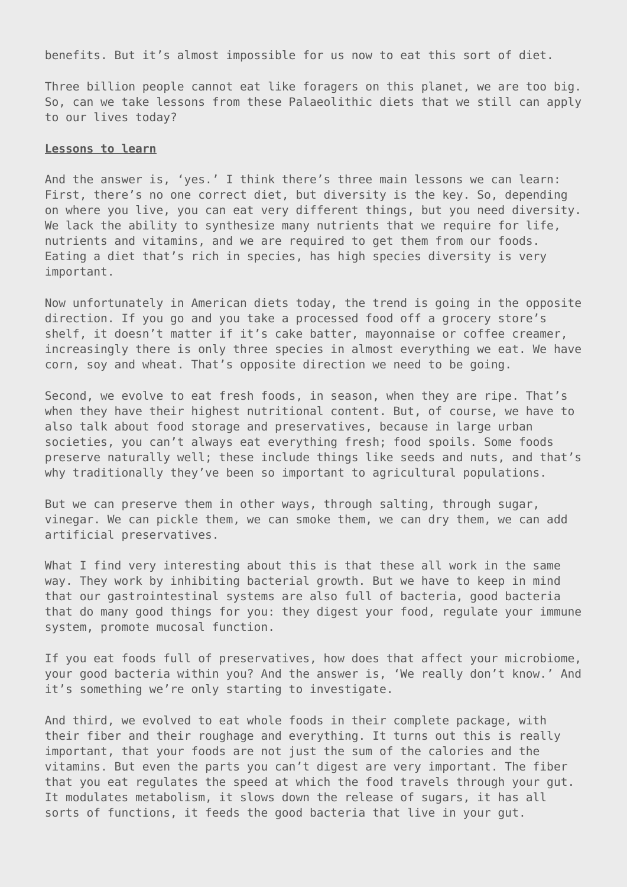benefits. But it's almost impossible for us now to eat this sort of diet.

Three billion people cannot eat like foragers on this planet, we are too big. So, can we take lessons from these Palaeolithic diets that we still can apply to our lives today?

#### **Lessons to learn**

And the answer is, 'yes.' I think there's three main lessons we can learn: First, there's no one correct diet, but diversity is the key. So, depending on where you live, you can eat very different things, but you need diversity. We lack the ability to synthesize many nutrients that we require for life, nutrients and vitamins, and we are required to get them from our foods. Eating a diet that's rich in species, has high species diversity is very important.

Now unfortunately in American diets today, the trend is going in the opposite direction. If you go and you take a processed food off a grocery store's shelf, it doesn't matter if it's cake batter, mayonnaise or coffee creamer, increasingly there is only three species in almost everything we eat. We have corn, soy and wheat. That's opposite direction we need to be going.

Second, we evolve to eat fresh foods, in season, when they are ripe. That's when they have their highest nutritional content. But, of course, we have to also talk about food storage and preservatives, because in large urban societies, you can't always eat everything fresh; food spoils. Some foods preserve naturally well; these include things like seeds and nuts, and that's why traditionally they've been so important to agricultural populations.

But we can preserve them in other ways, through salting, through sugar, vinegar. We can pickle them, we can smoke them, we can dry them, we can add artificial preservatives.

What I find very interesting about this is that these all work in the same way. They work by inhibiting bacterial growth. But we have to keep in mind that our gastrointestinal systems are also full of bacteria, good bacteria that do many good things for you: they digest your food, regulate your immune system, promote mucosal function.

If you eat foods full of preservatives, how does that affect your microbiome, your good bacteria within you? And the answer is, 'We really don't know.' And it's something we're only starting to investigate.

And third, we evolved to eat whole foods in their complete package, with their fiber and their roughage and everything. It turns out this is really important, that your foods are not just the sum of the calories and the vitamins. But even the parts you can't digest are very important. The fiber that you eat regulates the speed at which the food travels through your gut. It modulates metabolism, it slows down the release of sugars, it has all sorts of functions, it feeds the good bacteria that live in your gut.